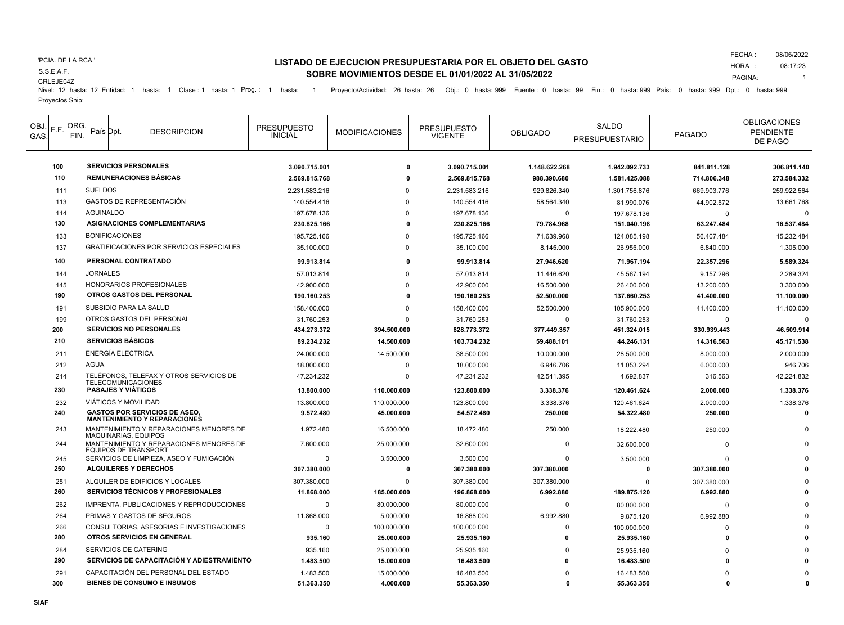#### 'PCIA. DE LA RCA.'

# S.S.E.A.F.

CRLEJE04Z

## **LISTADO DE EJECUCION PRESUPUESTARIA POR EL OBJETO DEL GASTO SOBRE MOVIMIENTOS DESDE EL 01/01/2022 AL 31/05/2022**

FECHA : HORA : 08/06/2022 08:17:23

PAGINA: 1

Nivel: 12 hasta: 12 Entidad: 1 hasta: 1 Clase : 1 hasta: 1 Prog.: 1 hasta: 1 Proyecto/Actividad: 26 hasta: 26 Obj.: 0 hasta: 999 Fuente : 0 hasta: 99 Fin.: 0 hasta: 999 País: 0 hasta: 999 Dpt.: 0 hasta: 999 Dpt.: 0 hasta: Proyectos Snip:

| OBJ.  F.F.<br>GAS. | ORG.<br>FIN. | País Dpt.                                 | <b>DESCRIPCION</b>                                                          | <b>PRESUPUESTO</b><br><b>INICIAL</b> | <b>MODIFICACIONES</b> | <b>PRESUPUESTO</b><br><b>VIGENTE</b> | <b>OBLIGADO</b> | SALDO<br><b>PRESUPUESTARIO</b> | PAGADO      | <b>OBLIGACIONES</b><br><b>PENDIENTE</b><br>DE PAGO |
|--------------------|--------------|-------------------------------------------|-----------------------------------------------------------------------------|--------------------------------------|-----------------------|--------------------------------------|-----------------|--------------------------------|-------------|----------------------------------------------------|
| 100                |              |                                           | <b>SERVICIOS PERSONALES</b>                                                 | 3.090.715.001                        | $\mathbf{0}$          | 3.090.715.001                        | 1.148.622.268   | 1.942.092.733                  | 841.811.128 | 306.811.140                                        |
| 110                |              |                                           | <b>REMUNERACIONES BÁSICAS</b>                                               | 2.569.815.768                        |                       | 2.569.815.768                        | 988.390.680     | 1.581.425.088                  | 714.806.348 | 273.584.332                                        |
| 111                |              | <b>SUELDOS</b>                            |                                                                             | 2.231.583.216                        | $\Omega$              | 2.231.583.216                        | 929.826.340     | 1.301.756.876                  | 669.903.776 | 259.922.564                                        |
| 113                |              |                                           | GASTOS DE REPRESENTACIÓN                                                    | 140.554.416                          | $\Omega$              | 140.554.416                          | 58.564.340      | 81.990.076                     | 44.902.572  | 13.661.768                                         |
| 114                |              | <b>AGUINALDO</b>                          |                                                                             | 197.678.136                          | $\Omega$              | 197.678.136                          | $\Omega$        | 197.678.136                    | $\Omega$    |                                                    |
| 130                |              |                                           | ASIGNACIONES COMPLEMENTARIAS                                                | 230.825.166                          | o                     | 230.825.166                          | 79.784.968      | 151.040.198                    | 63.247.484  | 16.537.484                                         |
| 133                |              | <b>BONIFICACIONES</b>                     |                                                                             | 195.725.166                          | $\Omega$              | 195.725.166                          | 71.639.968      | 124.085.198                    | 56.407.484  | 15.232.484                                         |
| 137                |              |                                           | GRATIFICACIONES POR SERVICIOS ESPECIALES                                    | 35.100.000                           | $\Omega$              | 35.100.000                           | 8.145.000       | 26.955.000                     | 6.840.000   | 1.305.000                                          |
| 140                |              |                                           | PERSONAL CONTRATADO                                                         | 99.913.814                           | O                     | 99.913.814                           | 27.946.620      | 71.967.194                     | 22.357.296  | 5.589.324                                          |
| 144                |              | <b>JORNALES</b>                           |                                                                             | 57.013.814                           | $\Omega$              | 57.013.814                           | 11.446.620      | 45.567.194                     | 9.157.296   | 2.289.324                                          |
| 145                |              |                                           | HONORARIOS PROFESIONALES                                                    | 42.900.000                           | $\Omega$              | 42.900.000                           | 16.500.000      | 26.400.000                     | 13.200.000  | 3.300.000                                          |
| 190                |              |                                           | <b>OTROS GASTOS DEL PERSONAL</b>                                            | 190.160.253                          | o                     | 190.160.253                          | 52.500.000      | 137.660.253                    | 41.400.000  | 11.100.000                                         |
| 191                |              |                                           | SUBSIDIO PARA LA SALUD                                                      | 158.400.000                          | $\Omega$              | 158.400.000                          | 52.500.000      | 105.900.000                    | 41.400.000  | 11.100.000                                         |
| 199                |              |                                           | OTROS GASTOS DEL PERSONAL                                                   | 31.760.253                           | $\Omega$              | 31.760.253                           | $\Omega$        | 31.760.253                     | $\Omega$    | $\Omega$                                           |
| 200                |              |                                           | <b>SERVICIOS NO PERSONALES</b>                                              | 434.273.372                          | 394.500.000           | 828.773.372                          | 377.449.357     | 451.324.015                    | 330.939.443 | 46.509.914                                         |
| 210                |              |                                           | <b>SERVICIOS BÁSICOS</b>                                                    | 89.234.232                           | 14.500.000            | 103.734.232                          | 59.488.101      | 44.246.131                     | 14.316.563  | 45.171.538                                         |
| 211                |              |                                           | <b>ENERGÍA ELECTRICA</b>                                                    | 24.000.000                           | 14.500.000            | 38.500.000                           | 10.000.000      | 28.500.000                     | 8.000.000   | 2.000.000                                          |
| 212                |              | <b>AGUA</b>                               |                                                                             | 18.000.000                           | $\Omega$              | 18.000.000                           | 6.946.706       | 11.053.294                     | 6.000.000   | 946.706                                            |
| 214                |              |                                           | TELÉFONOS, TELEFAX Y OTROS SERVICIOS DE                                     | 47.234.232                           | $\Omega$              | 47.234.232                           | 42.541.395      | 4.692.837                      | 316.563     | 42.224.832                                         |
| 230                |              |                                           | <b>TELECOMUNICACIONES</b><br><b>PASAJES Y VIATICOS</b>                      | 13.800.000                           | 110.000.000           | 123.800.000                          | 3.338.376       | 120.461.624                    | 2.000.000   | 1.338.376                                          |
| 232                |              |                                           | VIÁTICOS Y MOVILIDAD                                                        | 13.800.000                           | 110.000.000           | 123.800.000                          | 3.338.376       | 120.461.624                    | 2.000.000   | 1.338.376                                          |
| 240                |              |                                           | <b>GASTOS POR SERVICIOS DE ASEO.</b><br><b>MANTENIMIENTO Y REPARACIONES</b> | 9.572.480                            | 45.000.000            | 54.572.480                           | 250.000         | 54.322.480                     | 250.000     | $\Omega$                                           |
| 243                |              |                                           | MANTENIMIENTO Y REPARACIONES MENORES DE<br>MAQUINARIAS, EQUIPOS             | 1.972.480                            | 16.500.000            | 18.472.480                           | 250.000         | 18.222.480                     | 250.000     |                                                    |
| 244                |              |                                           | MANTENIMIENTO Y REPARACIONES MENORES DE<br><b>EQUIPOS DE TRANSPORT</b>      | 7.600.000                            | 25.000.000            | 32.600.000                           | $\mathbf 0$     | 32.600.000                     | $\Omega$    |                                                    |
| 245                |              | SERVICIOS DE LIMPIEZA. ASEO Y FUMIGACIÓN  |                                                                             | $\mathbf 0$                          | 3.500.000             | 3.500.000                            | $\Omega$        | 3.500.000                      | $\Omega$    |                                                    |
| 250                |              | <b>ALQUILERES Y DERECHOS</b>              |                                                                             | 307.380.000                          | O                     | 307.380.000                          | 307.380.000     | $\mathbf{0}$                   | 307.380.000 |                                                    |
| 251                |              | ALQUILER DE EDIFICIOS Y LOCALES           |                                                                             | 307.380.000                          | $\Omega$              | 307.380.000                          | 307.380.000     | $\Omega$                       | 307.380.000 |                                                    |
| 260                |              |                                           | <b>SERVICIOS TÉCNICOS Y PROFESIONALES</b>                                   | 11.868.000                           | 185.000.000           | 196.868.000                          | 6.992.880       | 189.875.120                    | 6.992.880   |                                                    |
| 262                |              |                                           | IMPRENTA, PUBLICACIONES Y REPRODUCCIONES                                    | $\Omega$                             | 80.000.000            | 80.000.000                           | 0               | 80.000.000                     | $\Omega$    |                                                    |
| 264                |              | PRIMAS Y GASTOS DE SEGUROS                |                                                                             | 11.868.000                           | 5.000.000             | 16.868.000                           | 6.992.880       | 9.875.120                      | 6.992.880   |                                                    |
| 266                |              | CONSULTORIAS, ASESORIAS E INVESTIGACIONES |                                                                             | $\mathbf{0}$                         | 100.000.000           | 100.000.000                          | $\Omega$        | 100.000.000                    | $\Omega$    |                                                    |
| 280                |              | OTROS SERVICIOS EN GENERAL                |                                                                             | 935.160                              | 25.000.000            | 25.935.160                           | 0               | 25.935.160                     | $\Omega$    |                                                    |
| 284                |              |                                           | SERVICIOS DE CATERING                                                       | 935.160                              | 25.000.000            | 25.935.160                           | $\Omega$        | 25.935.160                     | $\Omega$    |                                                    |
| 290                |              |                                           | SERVICIOS DE CAPACITACIÓN Y ADIESTRAMIENTO                                  | 1.483.500                            | 15.000.000            | 16.483.500                           | O               | 16.483.500                     |             |                                                    |
| 291                |              |                                           | CAPACITACIÓN DEL PERSONAL DEL ESTADO                                        | 1.483.500                            | 15.000.000            | 16.483.500                           | ŋ               | 16.483.500                     |             |                                                    |
| 300                |              |                                           | <b>BIENES DE CONSUMO E INSUMOS</b>                                          | 51.363.350                           | 4.000.000             | 55.363.350                           | $\Omega$        | 55.363.350                     | O           | $\mathbf{0}$                                       |